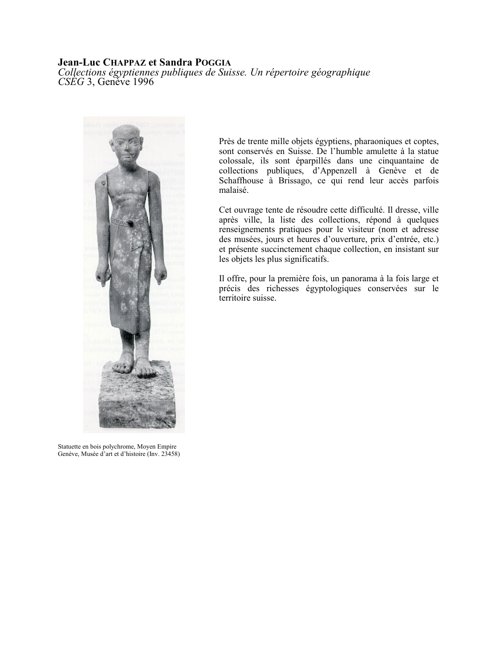## **Jean-Luc CHAPPAZ et Sandra POGGIA**

Collections égyptiennes publiques de Suisse. Un répertoire géographique  $CSEG$  3, Geneve 1996



Statuette en bois polychrome, Moyen Empire Genève, Musée d'art et d'histoire (Inv. 23458)

Près de trente mille objets égyptiens, pharaoniques et coptes, sont conservés en Suisse. De l'humble amulette à la statue colossale, ils sont éparpillés dans une cinquantaine de collections publiques, d'Appenzell à Genève et de Schaffhouse à Brissago, ce qui rend leur accès parfois malaisé.

Cet ouvrage tente de résoudre cette difficulté. Il dresse, ville après ville, la liste des collections, répond à quelques renseignements pratiques pour le visiteur (nom et adresse des musées, jours et heures d'ouverture, prix d'entrée, etc.) et présente succinctement chaque collection, en insistant sur les objets les plus significatifs.

Il offre, pour la première fois, un panorama à la fois large et précis des richesses égyptologiques conservées sur le territoire suisse.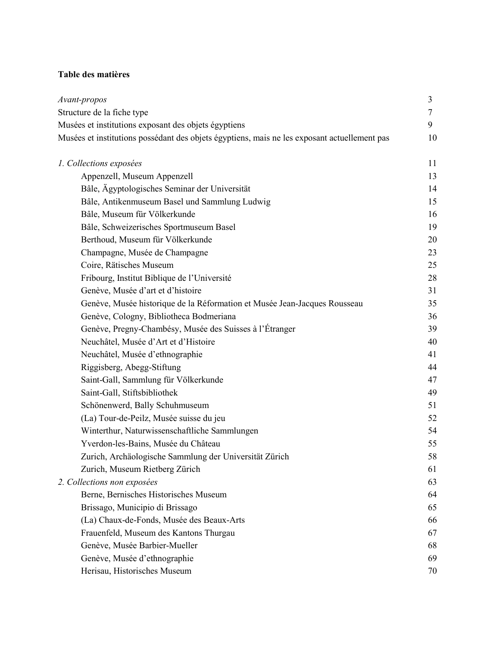## Table des matières

| Avant-propos                                                                                 | 3  |
|----------------------------------------------------------------------------------------------|----|
| Structure de la fiche type                                                                   | 7  |
| Musées et institutions exposant des objets égyptiens                                         | 9  |
| Musées et institutions possédant des objets égyptiens, mais ne les exposant actuellement pas | 10 |
| 1. Collections exposées                                                                      | 11 |
| Appenzell, Museum Appenzell                                                                  | 13 |
| Bâle, Ägyptologisches Seminar der Universität                                                | 14 |
| Bâle, Antikenmuseum Basel und Sammlung Ludwig                                                | 15 |
| Bâle, Museum für Völkerkunde                                                                 | 16 |
| Bâle, Schweizerisches Sportmuseum Basel                                                      | 19 |
| Berthoud, Museum für Völkerkunde                                                             | 20 |
| Champagne, Musée de Champagne                                                                | 23 |
| Coire, Rätisches Museum                                                                      | 25 |
| Fribourg, Institut Biblique de l'Université                                                  | 28 |
| Genève, Musée d'art et d'histoire                                                            | 31 |
| Genève, Musée historique de la Réformation et Musée Jean-Jacques Rousseau                    | 35 |
| Genève, Cologny, Bibliotheca Bodmeriana                                                      | 36 |
| Genève, Pregny-Chambésy, Musée des Suisses à l'Étranger                                      | 39 |
| Neuchâtel, Musée d'Art et d'Histoire                                                         | 40 |
| Neuchâtel, Musée d'ethnographie                                                              | 41 |
| Riggisberg, Abegg-Stiftung                                                                   | 44 |
| Saint-Gall, Sammlung für Völkerkunde                                                         | 47 |
| Saint-Gall, Stiftsbibliothek                                                                 | 49 |
| Schönenwerd, Bally Schuhmuseum                                                               | 51 |
| (La) Tour-de-Peilz, Musée suisse du jeu                                                      | 52 |
| Winterthur, Naturwissenschaftliche Sammlungen                                                | 54 |
| Yverdon-les-Bains, Musée du Château                                                          | 55 |
| Zurich, Archäologische Sammlung der Universität Zürich                                       | 58 |
| Zurich, Museum Rietberg Zürich                                                               | 61 |
| 2. Collections non exposées                                                                  | 63 |
| Berne, Bernisches Historisches Museum                                                        | 64 |
| Brissago, Municipio di Brissago                                                              | 65 |
| (La) Chaux-de-Fonds, Musée des Beaux-Arts                                                    | 66 |
| Frauenfeld, Museum des Kantons Thurgau                                                       | 67 |
| Genève, Musée Barbier-Mueller                                                                | 68 |
| Genève, Musée d'ethnographie                                                                 | 69 |
| Herisau, Historisches Museum                                                                 | 70 |